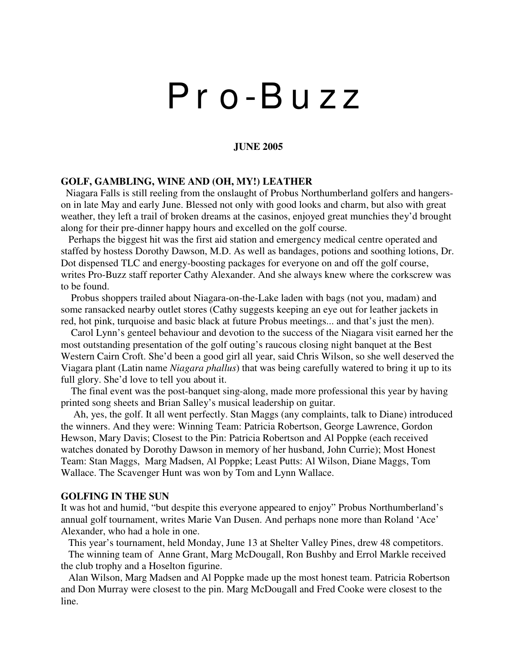# P r o -B u z z

## **JUNE 2005**

### **GOLF, GAMBLING, WINE AND (OH, MY!) LEATHER**

Niagara Falls is still reeling from the onslaught of Probus Northumberland golfers and hangerson in late May and early June. Blessed not only with good looks and charm, but also with great weather, they left a trail of broken dreams at the casinos, enjoyed great munchies they'd brought along for their pre-dinner happy hours and excelled on the golf course.

Perhaps the biggest hit was the first aid station and emergency medical centre operated and staffed by hostess Dorothy Dawson, M.D. As well as bandages, potions and soothing lotions, Dr. Dot dispensed TLC and energy-boosting packages for everyone on and off the golf course, writes Pro-Buzz staff reporter Cathy Alexander. And she always knew where the corkscrew was to be found.

Probus shoppers trailed about Niagara-on-the-Lake laden with bags (not you, madam) and some ransacked nearby outlet stores (Cathy suggests keeping an eye out for leather jackets in red, hot pink, turquoise and basic black at future Probus meetings... and that's just the men).

Carol Lynn's genteel behaviour and devotion to the success of the Niagara visit earned her the most outstanding presentation of the golf outing's raucous closing night banquet at the Best Western Cairn Croft. She'd been a good girl all year, said Chris Wilson, so she well deserved the Viagara plant (Latin name *Niagara phallus*) that was being carefully watered to bring it up to its full glory. She'd love to tell you about it.

The final event was the post-banquet sing-along, made more professional this year by having printed song sheets and Brian Salley's musical leadership on guitar.

Ah, yes, the golf. It all went perfectly. Stan Maggs (any complaints, talk to Diane) introduced the winners. And they were: Winning Team: Patricia Robertson, George Lawrence, Gordon Hewson, Mary Davis; Closest to the Pin: Patricia Robertson and Al Poppke (each received watches donated by Dorothy Dawson in memory of her husband, John Currie); Most Honest Team: Stan Maggs, Marg Madsen, Al Poppke; Least Putts: Al Wilson, Diane Maggs, Tom Wallace. The Scavenger Hunt was won by Tom and Lynn Wallace.

#### **GOLFING IN THE SUN**

It was hot and humid, "but despite this everyone appeared to enjoy" Probus Northumberland's annual golf tournament, writes Marie Van Dusen. And perhaps none more than Roland 'Ace' Alexander, who had a hole in one.

This year's tournament, held Monday, June 13 at Shelter Valley Pines, drew 48 competitors. The winning team of Anne Grant, Marg McDougall, Ron Bushby and Errol Markle received the club trophy and a Hoselton figurine.

Alan Wilson, Marg Madsen and Al Poppke made up the most honest team. Patricia Robertson and Don Murray were closest to the pin. Marg McDougall and Fred Cooke were closest to the line.